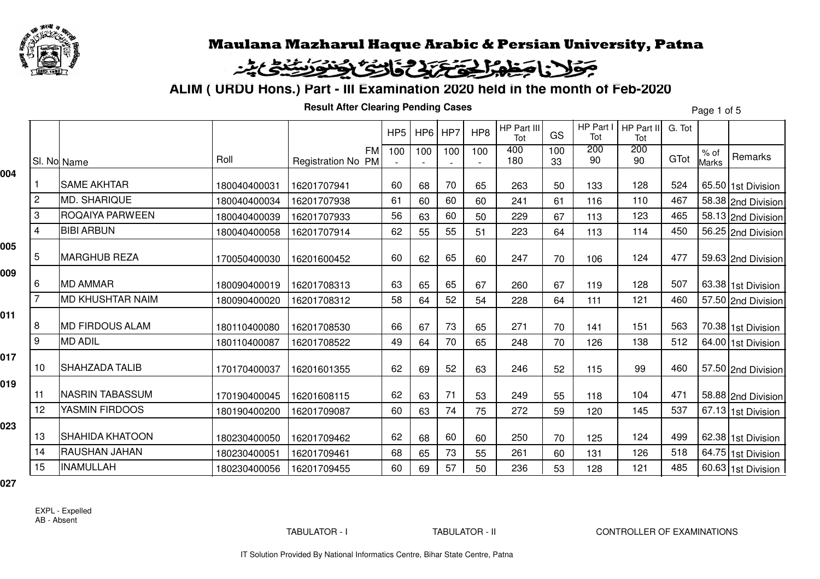

#### فاحظه الحقة تزافى التكافح لأنفرن يند بخولينا

**ALIM ( URDU Hons.) Part - III Examination 2020 held in the month of Feb-2020**

**Result After Clearing Pending Cases**

Page 1 of 5

|     |                |                         |              |                                 | HP <sub>5</sub> | $HP6$ HP7 |     | HP8 | HP Part III<br>Tot | GS        | HP Part I<br>Tot | HP Part II<br>Tot | G. Tot |                        |                    |
|-----|----------------|-------------------------|--------------|---------------------------------|-----------------|-----------|-----|-----|--------------------|-----------|------------------|-------------------|--------|------------------------|--------------------|
|     |                | SI. No Name             | Roll         | <b>FM</b><br>Registration No PM | 100             | 100       | 100 | 100 | 400<br>180         | 100<br>33 | 200<br>90        | 200<br>90         | GTot   | $%$ of<br><b>Marks</b> | Remarks            |
| 004 |                | <b>SAME AKHTAR</b>      | 180040400031 | 16201707941                     | 60              | 68        | 70  | 65  | 263                | 50        | 133              | 128               | 524    |                        | 65.50 1st Division |
|     | $\overline{c}$ | <b>MD. SHARIQUE</b>     | 180040400034 | 16201707938                     | 61              | 60        | 60  | 60  | 241                | 61        | 116              | 110               | 467    |                        | 58.38 2nd Division |
|     | 3              | ROQAIYA PARWEEN         | 180040400039 | 16201707933                     | 56              | 63        | 60  | 50  | 229                | 67        | 113              | 123               | 465    |                        | 58.13 2nd Division |
|     | $\overline{4}$ | <b>BIBI ARBUN</b>       | 180040400058 | 16201707914                     | 62              | 55        | 55  | 51  | 223                | 64        | 113              | 114               | 450    |                        | 56.25 2nd Division |
| 005 | 5              | <b>MARGHUB REZA</b>     | 170050400030 | 16201600452                     | 60              | 62        | 65  | 60  | 247                | 70        | 106              | 124               | 477    |                        | 59.63 2nd Division |
| 009 | 6              | <b>MD AMMAR</b>         | 180090400019 | 16201708313                     | 63              | 65        | 65  | 67  | 260                | 67        | 119              | 128               | 507    |                        | 63.38 1st Division |
|     | 7              | <b>MD KHUSHTAR NAIM</b> | 180090400020 | 16201708312                     | 58              | 64        | 52  | 54  | 228                | 64        | 111              | 121               | 460    |                        | 57.50 2nd Division |
| 011 | 8              | <b>MD FIRDOUS ALAM</b>  | 180110400080 | 16201708530                     | 66              | 67        | 73  | 65  | 271                | 70        | 141              | 151               | 563    |                        | 70.38 1st Division |
|     | 9              | <b>MD ADIL</b>          | 180110400087 | 16201708522                     | 49              | 64        | 70  | 65  | 248                | 70        | 126              | 138               | 512    |                        | 64.00 1st Division |
| 017 | 10             | <b>SHAHZADA TALIB</b>   | 170170400037 | 16201601355                     | 62              | 69        | 52  | 63  | 246                | 52        | 115              | 99                | 460    |                        | 57.50 2nd Division |
| 019 | 11             | <b>NASRIN TABASSUM</b>  | 170190400045 | 16201608115                     | 62              | 63        | 71  | 53  | 249                | 55        | 118              | 104               | 471    |                        | 58.88 2nd Division |
|     | 12             | YASMIN FIRDOOS          | 180190400200 | 16201709087                     | 60              | 63        | 74  | 75  | 272                | 59        | 120              | 145               | 537    |                        | 67.13 1st Division |
| 023 | 13             | <b>SHAHIDA KHATOON</b>  | 180230400050 | 16201709462                     | 62              | 68        | 60  | 60  | 250                | 70        | 125              | 124               | 499    |                        | 62.38 1st Division |
|     | 14             | RAUSHAN JAHAN           | 180230400051 | 16201709461                     | 68              | 65        | 73  | 55  | 261                | 60        | 131              | 126               | 518    |                        | 64.75 1st Division |
|     | 15             | <b>INAMULLAH</b>        | 180230400056 | 16201709455                     | 60              | 69        | 57  | 50  | 236                | 53        | 128              | 121               | 485    |                        | 60.63 1st Division |
|     |                |                         |              |                                 |                 |           |     |     |                    |           |                  |                   |        |                        |                    |

**027**

EXPL - ExpelledAB - Absent

TABULATOR - I TABULATOR - II CONTROLLER OF EXAMINATIONS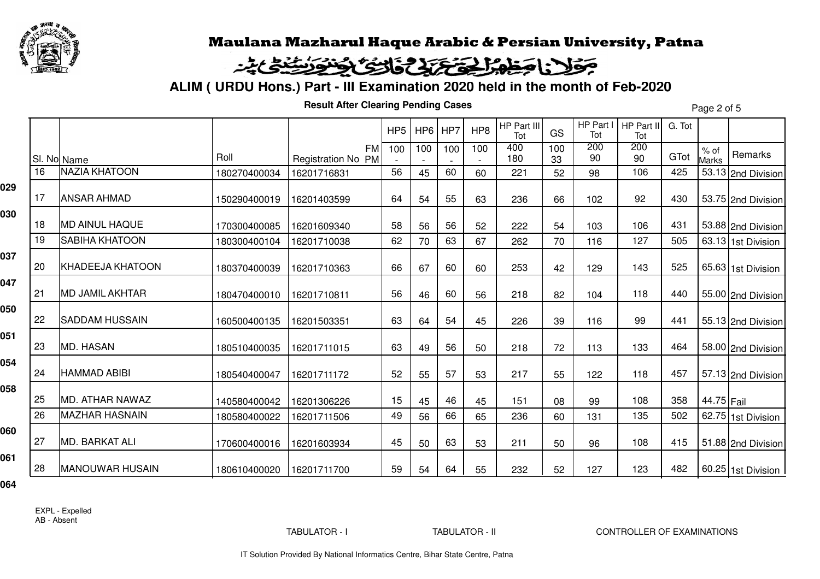

# وكالزا وطهر لحق بالخاطئ والخلائظ

**ALIM ( URDU Hons.) Part - III Examination 2020 held in the month of Feb-2020**

**Result After Clearing Pending Cases**

Page 2 of 5

|     |    |                         |              |                                 | HP <sub>5</sub> | HP6 | HP7 | HP8 | HP Part III<br>Tot | GS        | HP Part I<br>Tot | HP Part II<br>Tot | G. Tot |                      |                    |
|-----|----|-------------------------|--------------|---------------------------------|-----------------|-----|-----|-----|--------------------|-----------|------------------|-------------------|--------|----------------------|--------------------|
|     |    | SI. No Name             | Roll         | <b>FM</b><br>Registration No PM | 100             | 100 | 100 | 100 | 400<br>180         | 100<br>33 | 200<br>90        | 200<br>90         | GTot   | % of<br><b>Marks</b> | Remarks            |
|     | 16 | <b>NAZIA KHATOON</b>    | 180270400034 | 16201716831                     | 56              | 45  | 60  | 60  | 221                | 52        | 98               | 106               | 425    |                      | 53.13 2nd Division |
| 029 | 17 | <b>ANSAR AHMAD</b>      | 150290400019 | 16201403599                     | 64              | 54  | 55  | 63  | 236                | 66        | 102              | 92                | 430    |                      | 53.75 2nd Division |
| 030 | 18 | <b>MD AINUL HAQUE</b>   | 170300400085 | 16201609340                     | 58              | 56  | 56  | 52  | 222                | 54        | 103              | 106               | 431    |                      | 53.88 2nd Division |
|     | 19 | <b>SABIHA KHATOON</b>   | 180300400104 | 16201710038                     | 62              | 70  | 63  | 67  | 262                | 70        | 116              | 127               | 505    |                      | 63.13 1st Division |
| 037 | 20 | <b>KHADEEJA KHATOON</b> | 180370400039 | 16201710363                     | 66              | 67  | 60  | 60  | 253                | 42        | 129              | 143               | 525    |                      | 65.63 1st Division |
| 047 | 21 | <b>MD JAMIL AKHTAR</b>  | 180470400010 | 16201710811                     | 56              | 46  | 60  | 56  | 218                | 82        | 104              | 118               | 440    |                      | 55.00 2nd Division |
| 050 | 22 | <b>SADDAM HUSSAIN</b>   | 160500400135 | 16201503351                     | 63              | 64  | 54  | 45  | 226                | 39        | 116              | 99                | 441    |                      | 55.13 2nd Division |
| 051 | 23 | <b>MD. HASAN</b>        | 180510400035 | 16201711015                     | 63              | 49  | 56  | 50  | 218                | 72        | 113              | 133               | 464    |                      | 58.00 2nd Division |
| 054 | 24 | <b>HAMMAD ABIBI</b>     | 180540400047 | 16201711172                     | 52              | 55  | 57  | 53  | 217                | 55        | 122              | 118               | 457    |                      | 57.13 2nd Division |
| 058 | 25 | MD. ATHAR NAWAZ         | 140580400042 | 16201306226                     | 15              | 45  | 46  | 45  | 151                | 08        | 99               | 108               | 358    | 44.75 Fail           |                    |
|     | 26 | <b>MAZHAR HASNAIN</b>   | 180580400022 | 16201711506                     | 49              | 56  | 66  | 65  | 236                | 60        | 131              | 135               | 502    |                      | 62.75 1st Division |
| 060 | 27 | <b>MD. BARKAT ALI</b>   | 170600400016 | 16201603934                     | 45              | 50  | 63  | 53  | 211                | 50        | 96               | 108               | 415    |                      | 51.88 2nd Division |
| 061 | 28 | <b>MANOUWAR HUSAIN</b>  | 180610400020 | 16201711700                     | 59              | 54  | 64  | 55  | 232                | 52        | 127              | 123               | 482    |                      | 60.25 1st Division |
|     |    |                         |              |                                 |                 |     |     |     |                    |           |                  |                   |        |                      |                    |

**064**

EXPL - ExpelledAB - Absent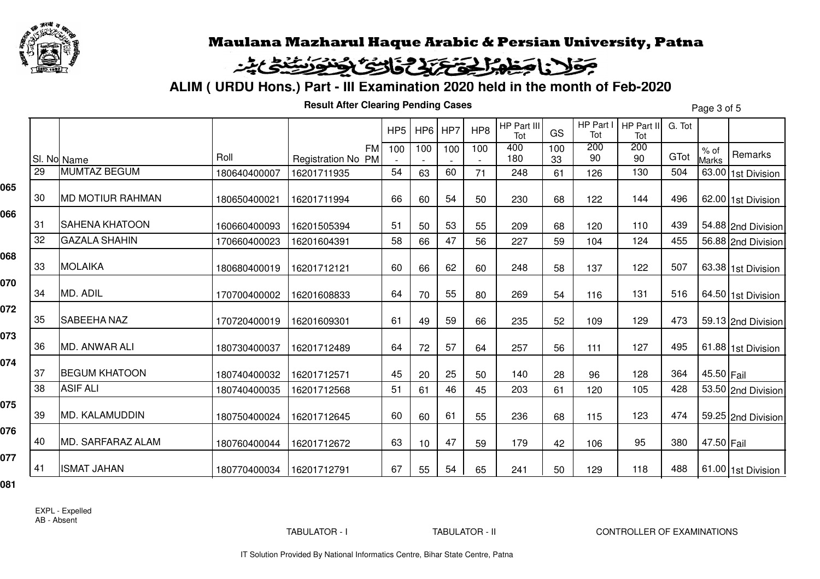

## وكالمناصطه الحق بالخاف الخفافة للتنافى

**ALIM ( URDU Hons.) Part - III Examination 2020 held in the month of Feb-2020**

**Result After Clearing Pending Cases**

Page 3 of 5

|     |    |                         |              |                                 | HP <sub>5</sub> |     | $HP6$ HP7 | HP8 | HP Part III<br>Tot | GS        | HP Part I<br>Tot | HP Part II<br>Tot | G. Tot |                        |                    |
|-----|----|-------------------------|--------------|---------------------------------|-----------------|-----|-----------|-----|--------------------|-----------|------------------|-------------------|--------|------------------------|--------------------|
|     |    | SI. No Name             | Roll         | <b>FM</b><br>Registration No PM | 100             | 100 | 100       | 100 | 400<br>180         | 100<br>33 | 200<br>90        | 200<br>90         | GTot   | $%$ of<br><b>Marks</b> | Remarks            |
|     | 29 | <b>MUMTAZ BEGUM</b>     | 180640400007 | 16201711935                     | 54              | 63  | 60        | 71  | 248                | 61        | 126              | 130               | 504    |                        | 63.00 1st Division |
| 065 | 30 | <b>MD MOTIUR RAHMAN</b> | 180650400021 | 16201711994                     | 66              | 60  | 54        | 50  | 230                | 68        | 122              | 144               | 496    |                        | 62.00 1st Division |
| 066 | 31 | <b>SAHENA KHATOON</b>   | 160660400093 | 16201505394                     | 51              | 50  | 53        | 55  | 209                | 68        | 120              | 110               | 439    |                        | 54.88 2nd Division |
|     | 32 | <b>GAZALA SHAHIN</b>    | 170660400023 | 16201604391                     | 58              | 66  | 47        | 56  | 227                | 59        | 104              | 124               | 455    |                        | 56.88 2nd Division |
| 068 | 33 | <b>MOLAIKA</b>          | 180680400019 | 16201712121                     | 60              | 66  | 62        | 60  | 248                | 58        | 137              | 122               | 507    |                        | 63.38 1st Division |
| 070 | 34 | MD. ADIL                | 170700400002 | 16201608833                     | 64              | 70  | 55        | 80  | 269                | 54        | 116              | 131               | 516    |                        | 64.50 1st Division |
| 072 | 35 | <b>SABEEHA NAZ</b>      | 170720400019 | 16201609301                     | 61              | 49  | 59        | 66  | 235                | 52        | 109              | 129               | 473    |                        | 59.13 2nd Division |
| 073 | 36 | MD. ANWAR ALI           | 180730400037 | 16201712489                     | 64              | 72  | 57        | 64  | 257                | 56        | 111              | 127               | 495    |                        | 61.88 1st Division |
| 074 | 37 | <b>BEGUM KHATOON</b>    | 180740400032 | 16201712571                     | 45              | 20  | 25        | 50  | 140                | 28        | 96               | 128               | 364    | 45.50 Fail             |                    |
|     | 38 | <b>ASIF ALI</b>         | 180740400035 | 16201712568                     | 51              | 61  | 46        | 45  | 203                | 61        | 120              | 105               | 428    |                        | 53.50 2nd Division |
| 075 | 39 | MD. KALAMUDDIN          | 180750400024 | 16201712645                     | 60              | 60  | 61        | 55  | 236                | 68        | 115              | 123               | 474    |                        | 59.25 2nd Division |
| 076 | 40 | MD. SARFARAZ ALAM       | 180760400044 | 16201712672                     | 63              | 10  | 47        | 59  | 179                | 42        | 106              | 95                | 380    | 47.50 Fail             |                    |
| 077 | 41 | <b>ISMAT JAHAN</b>      | 180770400034 | 16201712791                     | 67              | 55  | 54        | 65  | 241                | 50        | 129              | 118               | 488    |                        | 61.00 1st Division |

**081**

EXPL - ExpelledAB - Absent

TABULATOR - I TABULATOR - II CONTROLLER OF EXAMINATIONS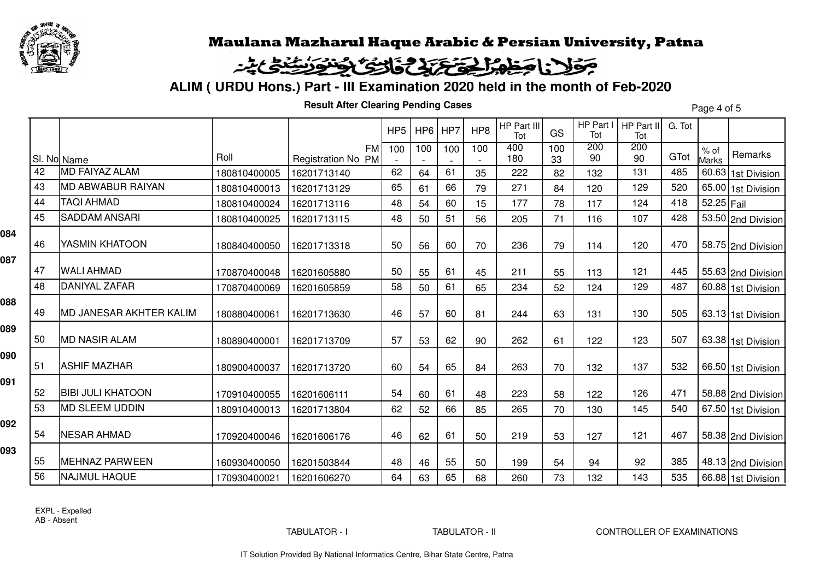

# وكالمطه الحفظ فتحتفى التكافؤ والتنافى

**ALIM ( URDU Hons.) Part - III Examination 2020 held in the month of Feb-2020**

**Result After Clearing Pending Cases**

Page 4 of 5

|     |    |                                |              |                                 | HP <sub>5</sub> | HP6 | HP7 | HP <sub>8</sub> | HP Part III<br>Tot | GS        | HP Part I<br>Tot | HP Part II<br>Tot | G. Tot |                      |                    |
|-----|----|--------------------------------|--------------|---------------------------------|-----------------|-----|-----|-----------------|--------------------|-----------|------------------|-------------------|--------|----------------------|--------------------|
|     |    | SI. No Name                    | Roll         | <b>FM</b><br>Registration No PM | 100             | 100 | 100 | 100             | 400<br>180         | 100<br>33 | 200<br>90        | 200<br>90         | GTot   | % of<br><b>Marks</b> | Remarks            |
|     | 42 | <b>MD FAIYAZ ALAM</b>          | 180810400005 | 16201713140                     | 62              | 64  | 61  | 35              | 222                | 82        | 132              | 131               | 485    |                      | 60.63 1st Division |
|     | 43 | <b>MD ABWABUR RAIYAN</b>       | 180810400013 | 16201713129                     | 65              | 61  | 66  | 79              | 271                | 84        | 120              | 129               | 520    |                      | 65.00 1st Division |
|     | 44 | <b>TAQI AHMAD</b>              | 180810400024 | 16201713116                     | 48              | 54  | 60  | 15              | 177                | 78        | 117              | 124               | 418    | 52.25 Fail           |                    |
|     | 45 | <b>SADDAM ANSARI</b>           | 180810400025 | 16201713115                     | 48              | 50  | 51  | 56              | 205                | 71        | 116              | 107               | 428    |                      | 53.50 2nd Division |
| 084 | 46 | YASMIN KHATOON                 | 180840400050 | 16201713318                     | 50              | 56  | 60  | 70              | 236                | 79        | 114              | 120               | 470    |                      | 58.75 2nd Division |
| 087 | 47 | <b>WALI AHMAD</b>              | 170870400048 | 16201605880                     | 50              | 55  | 61  | 45              | 211                | 55        | 113              | 121               | 445    |                      | 55.63 2nd Division |
|     | 48 | DANIYAL ZAFAR                  | 170870400069 | 16201605859                     | 58              | 50  | 61  | 65              | 234                | 52        | 124              | 129               | 487    |                      | 60.88 1st Division |
| 880 | 49 | <b>MD JANESAR AKHTER KALIM</b> | 180880400061 | 16201713630                     | 46              | 57  | 60  | 81              | 244                | 63        | 131              | 130               | 505    |                      | 63.13 1st Division |
| 089 | 50 | <b>MD NASIR ALAM</b>           | 180890400001 | 16201713709                     | 57              | 53  | 62  | 90              | 262                | 61        | 122              | 123               | 507    |                      | 63.38 1st Division |
| 090 | 51 | <b>ASHIF MAZHAR</b>            | 180900400037 | 16201713720                     | 60              | 54  | 65  | 84              | 263                | 70        | 132              | 137               | 532    |                      | 66.50 1st Division |
| 091 | 52 | <b>BIBI JULI KHATOON</b>       | 170910400055 | 16201606111                     | 54              | 60  | 61  | 48              | 223                | 58        | 122              | 126               | 471    |                      | 58.88 2nd Division |
|     | 53 | <b>MD SLEEM UDDIN</b>          | 180910400013 | 16201713804                     | 62              | 52  | 66  | 85              | 265                | 70        | 130              | 145               | 540    |                      | 67.50 1st Division |
| 092 | 54 | <b>NESAR AHMAD</b>             | 170920400046 | 16201606176                     | 46              | 62  | 61  | 50              | 219                | 53        | 127              | 121               | 467    |                      | 58.38 2nd Division |
| 093 | 55 | <b>MEHNAZ PARWEEN</b>          | 160930400050 | 16201503844                     | 48              | 46  | 55  | 50              | 199                | 54        | 94               | 92                | 385    |                      | 48.13 2nd Division |
|     | 56 | <b>NAJMUL HAQUE</b>            | 170930400021 | 16201606270                     | 64              | 63  | 65  | 68              | 260                | 73        | 132              | 143               | 535    |                      | 66.88 1st Division |
|     |    |                                |              |                                 |                 |     |     |                 |                    |           |                  |                   |        |                      |                    |

EXPL - ExpelledAB - Absent

TABULATOR - I TABULATOR - II CONTROLLER OF EXAMINATIONS